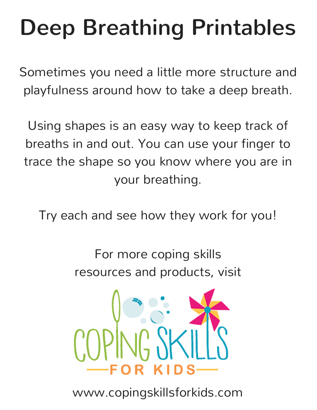# Deep Breathing Printables

Sometimes you need a little more structure and playfulness around how to take a deep breath.

Using shapes is an easy way to keep track of breaths in and out. You can use your finger to trace the shape so you know where you are in your breathing.

Try each and see how they work for you!

For more coping skills resources and products, visit



www.copingskillsforkids.com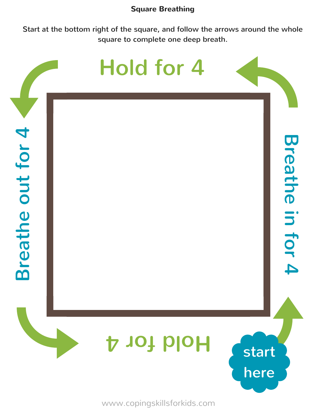#### **Square Breathing**

Start at the bottom right of the square, and follow the arrows around the whole square to complete one deep breath.

### $\boldsymbol{\Xi}$ r $\mathbf 0$  $\boldsymbol{\sigma}$ لسيه  $\mathbf{\Omega}$  $\mathbf 0$ out4 o $\blacktriangleright$  $\blacktriangleleft$  $\overline{\mathbf{D}}$  $\blacktriangledown$ **D** a  $\rightarrow$ **hay D** i 3  $\blacktriangleleft$ **O**  $\blacktriangledown$ 4 Hold for 4 **4** Apple designed start here

www.copingskillsforkids.com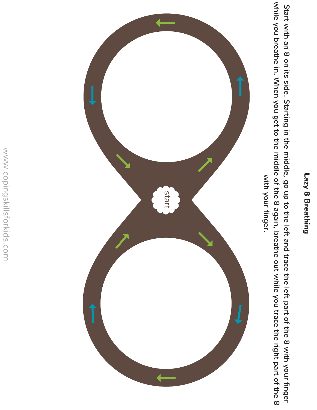### **Lazy 8 Breathing**

Start with ء<br>ا  $\infty$ o<br>J its side. **Starting** <u>n.</u> the middle, go a<br>T  $\mathsf{S}$ the left and trace the left part <u>ር</u> the  $\infty$ with your finger while you breathe in. When you get to the middle <u>ር</u> the ထ again, breathe out while you trace the right part <u>ር</u> the  $\infty$ with your

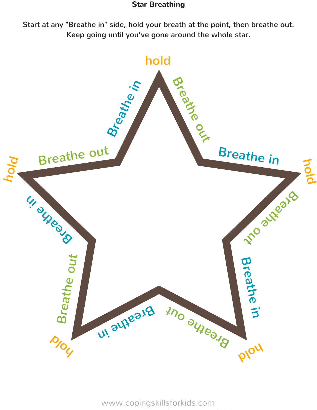### **Star Breathing**

Start at any "Breathe in" side, hold your breath at the point, then breathe out. Keep going until you've gone around the whole star.